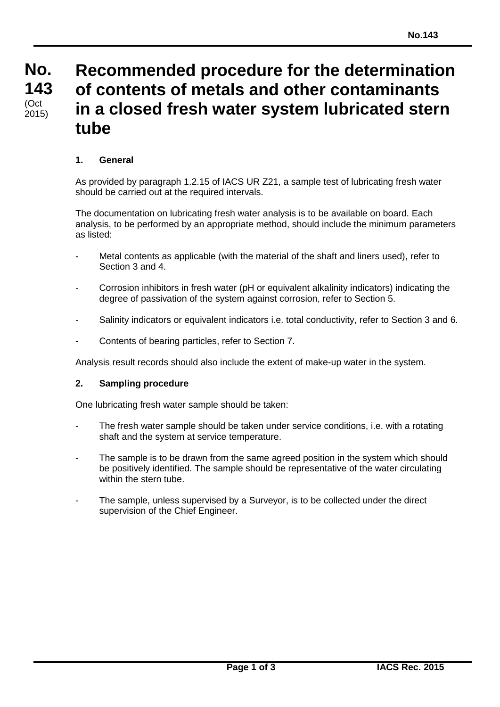#### **No. No. 143 143** (Oct<br>2015) **Recommended procedure for the determination of contents of metals and other contaminants in a closed fresh water system lubricated stern tube** (Oct

# **1. General**

As provided by paragraph 1.2.15 of IACS UR Z21, a sample test of lubricating fresh water should be carried out at the required intervals.

The documentation on lubricating fresh water analysis is to be available on board. Each analysis, to be performed by an appropriate method, should include the minimum parameters as listed:

- Metal contents as applicable (with the material of the shaft and liners used), refer to Section 3 and 4.
- Corrosion inhibitors in fresh water (pH or equivalent alkalinity indicators) indicating the degree of passivation of the system against corrosion, refer to Section 5.
- Salinity indicators or equivalent indicators i.e. total conductivity, refer to Section 3 and 6.
- Contents of bearing particles, refer to Section 7.

Analysis result records should also include the extent of make-up water in the system.

#### **2. Sampling procedure**

One lubricating fresh water sample should be taken:

- The fresh water sample should be taken under service conditions, i.e. with a rotating shaft and the system at service temperature.
- The sample is to be drawn from the same agreed position in the system which should be positively identified. The sample should be representative of the water circulating within the stern tube.
- The sample, unless supervised by a Surveyor, is to be collected under the direct supervision of the Chief Engineer.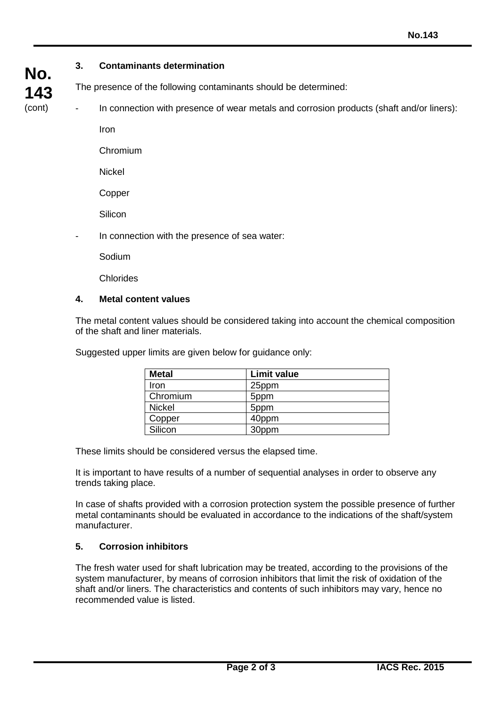# **3. Contaminants determination**

The presence of the following contaminants should be determined:

In connection with presence of wear metals and corrosion products (shaft and/or liners):

Iron

Chromium

Nickel

Copper

**Silicon** 

In connection with the presence of sea water:

Sodium

Chlorides

#### **4. Metal content values**

The metal content values should be considered taking into account the chemical composition of the shaft and liner materials.

Suggested upper limits are given below for guidance only:

| <b>Metal</b>  | <b>Limit value</b> |
|---------------|--------------------|
| Iron          | 25ppm              |
| Chromium      | 5ppm               |
| <b>Nickel</b> | 5ppm               |
| Copper        | 40ppm              |
| Silicon       | 30ppm              |

These limits should be considered versus the elapsed time.

It is important to have results of a number of sequential analyses in order to observe any trends taking place.

In case of shafts provided with a corrosion protection system the possible presence of further metal contaminants should be evaluated in accordance to the indications of the shaft/system manufacturer.

# **5. Corrosion inhibitors**

The fresh water used for shaft lubrication may be treated, according to the provisions of the system manufacturer, by means of corrosion inhibitors that limit the risk of oxidation of the shaft and/or liners. The characteristics and contents of such inhibitors may vary, hence no recommended value is listed.